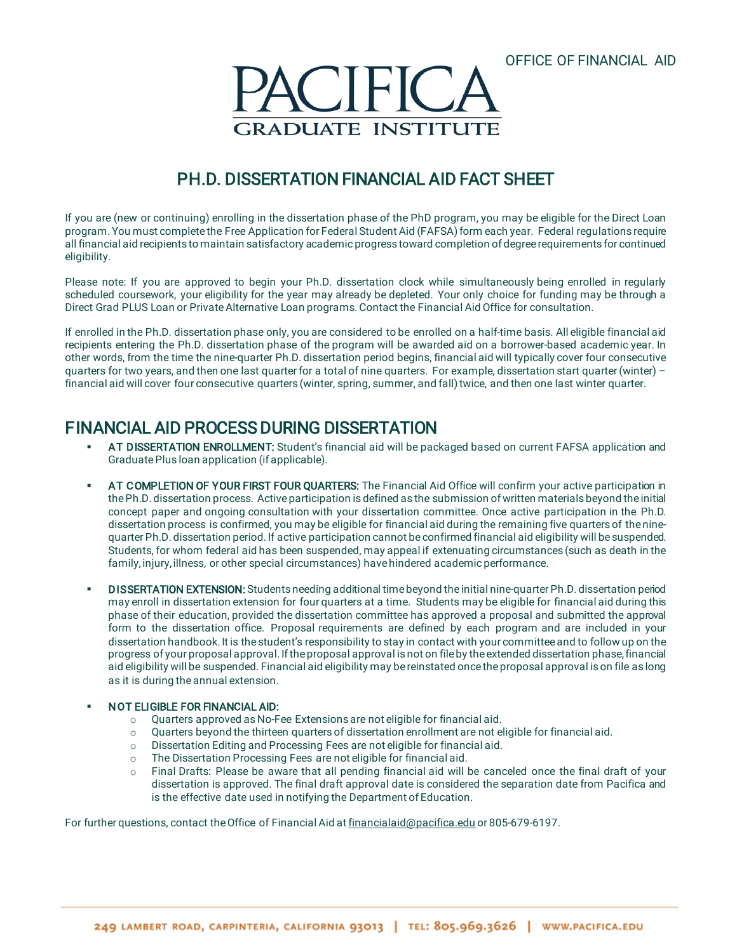

# PH.D. DISSERTATION FINANCIAL AID FACT SHEET

If you are (new or continuing) enrolling in the dissertation phase of the PhD program, you may be eligible for the Direct Loan program. You must complete the Free Application for Federal Student Aid (FAFSA) form each year. Federal regulations require all financial aid recipients to maintain satisfactory academic progress toward completion of degree requirements for continued eligibility.

Please note: If you are approved to begin your Ph.D. dissertation clock while simultaneously being enrolled in regularly scheduled coursework, your eligibility for the year may already be depleted. Your only choice for funding may be through a Direct Grad PLUS Loan or Private Alternative Loan programs. Contact the Financial Aid Office for consultation.

If enrolled in the Ph.D. dissertation phase only, you are considered to be enrolled on a half-time basis. All eligible financial aid recipients entering the Ph.D. dissertation phase of the program will be awarded aid on a borrower-based academic year. In other words, from the time the nine-quarter Ph.D. dissertation period begins, financial aid will typically cover four consecutive quarters for two years, and then one last quarter for a total of nine quarters. For example, dissertation start quarter(winter) – financial aid will cover four consecutive quarters (winter, spring, summer, and fall) twice, and then one last winter quarter.

## FINANCIAL AID PROCESS DURING DISSERTATION

- AT DISSERTATION ENROLLMENT: Student's financial aid will be packaged based on current FAFSA application and Graduate Plus loan application (if applicable).
- AT COMPLETION OF YOUR FIRST FOUR QUARTERS: The Financial Aid Office will confirm your active participation in the Ph.D. dissertation process. Active participation is defined as the submission of written materials beyond the initial concept paper and ongoing consultation with your dissertation committee. Once active participation in the Ph.D. dissertation process is confirmed, you may be eligible for financial aid during the remaining five quarters of the ninequarter Ph.D. dissertation period. If active participation cannot be confirmed financial aid eligibility will be suspended. Students, for whom federal aid has been suspended, may appeal if extenuating circumstances (such as death in the family, injury, illness, or other special circumstances) havehindered academic performance.
- DISSERTATION EXTENSION: Students needing additional time beyond the initial nine-quarter Ph.D. dissertation period may enroll in dissertation extension for four quarters at a time. Students may be eligible for financial aid during this phase of their education, provided the dissertation committee has approved a proposal and submitted the approval form to the dissertation office. Proposal requirements are defined by each program and are included in your dissertation handbook. It is the student's responsibility to stay in contact with your committee and to follow up on the progress of your proposal approval. If the proposal approval is not on file by the extended dissertation phase, financial aid eligibility will be suspended. Financial aid eligibility may be reinstated once the proposal approval is on file as long as it is during the annual extension.

#### NOT ELIGIBLE FOR FINANCIAL AID:

- o Quarters approved as No-Fee Extensions are not eligible for financial aid.
- $\circ$  Quarters beyond the thirteen quarters of dissertation enrollment are not eligible for financial aid.
- o Dissertation Editing and Processing Fees are not eligible for financial aid.
- $\circ$  The Dissertation Processing Fees are not eligible for financial aid.<br>  $\circ$  Final Drafts: Please be aware that all pending financial aid will
- Final Drafts: Please be aware that all pending financial aid will be canceled once the final draft of your dissertation is approved. The final draft approval date is considered the separation date from Pacifica and is the effective date used in notifying the Department of Education.

For further questions, contact the Office of Financial Aid a[t financialaid@pacifica.edu](mailto:financialaid@pacifica.edu) or 805-679-6197.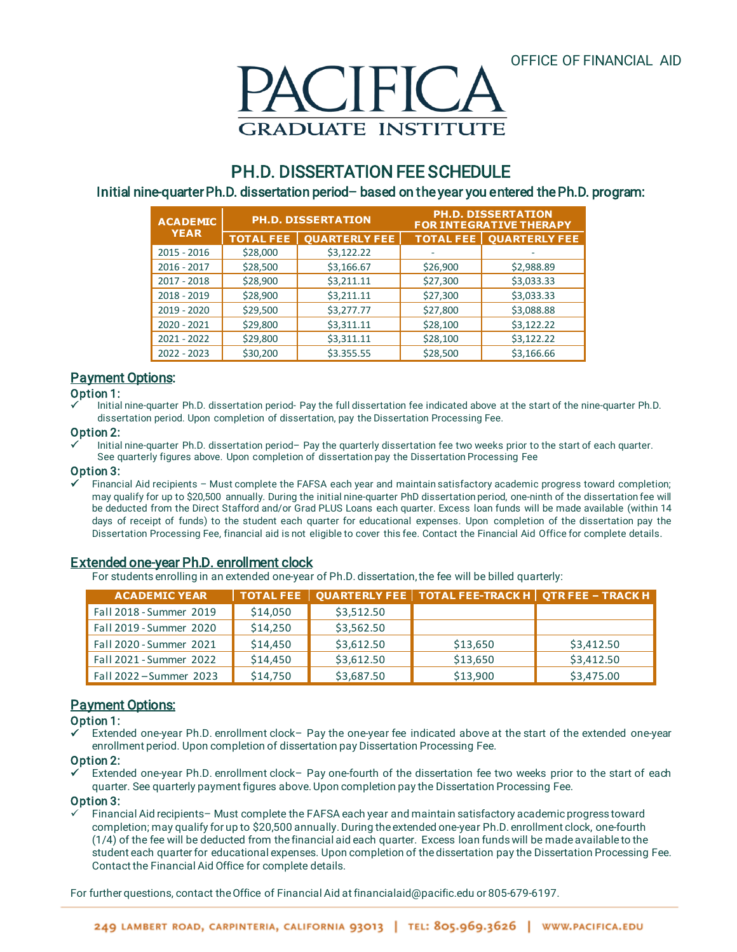

## PH.D. DISSERTATION FEE SCHEDULE

### Initial nine-quarter Ph.D. dissertation period– based on the year you entered the Ph.D. program:

| <b>ACADEMIC</b><br><b>YEAR</b> | <b>PH.D. DISSERTATION</b> |                      | <b>PH.D. DISSERTATION</b><br><b>FOR INTEGRATIVE THERAPY</b> |                      |
|--------------------------------|---------------------------|----------------------|-------------------------------------------------------------|----------------------|
|                                | <b>TOTAL FEE</b>          | <b>OUARTERLY FEE</b> | <b>TOTAL FEE</b>                                            | <b>OUARTERLY FEE</b> |
| 2015 - 2016                    | \$28,000                  | \$3,122.22           |                                                             |                      |
| $2016 - 2017$                  | \$28,500                  | \$3,166.67           | \$26,900                                                    | \$2,988.89           |
| $2017 - 2018$                  | \$28,900                  | \$3,211.11           | \$27,300                                                    | \$3,033.33           |
| $2018 - 2019$                  | \$28,900                  | \$3,211.11           | \$27,300                                                    | \$3,033.33           |
| 2019 - 2020                    | \$29,500                  | \$3,277.77           | \$27,800                                                    | \$3,088.88           |
| 2020 - 2021                    | \$29,800                  | \$3,311.11           | \$28,100                                                    | \$3,122.22           |
| $2021 - 2022$                  | \$29,800                  | \$3,311.11           | \$28,100                                                    | \$3,122.22           |
| $2022 - 2023$                  | \$30,200                  | \$3.355.55           | \$28,500                                                    | \$3,166.66           |

## **Payment Options:**

#### Option 1:

 Initial nine-quarter Ph.D. dissertation period- Pay the full dissertation fee indicated above at the start of the nine-quarter Ph.D. dissertation period. Upon completion of dissertation, pay the Dissertation Processing Fee.

#### Option 2:

 Initial nine-quarter Ph.D. dissertation period– Pay the quarterly dissertation fee two weeks prior to the start of each quarter. See quarterly figures above. Upon completion of dissertation pay the Dissertation Processing Fee

#### Option 3:

 Financial Aid recipients – Must complete the FAFSA each year and maintain satisfactory academic progress toward completion; may qualify for up to \$20,500 annually. During the initial nine-quarter PhD dissertation period, one-ninth of the dissertation fee will be deducted from the Direct Stafford and/or Grad PLUS Loans each quarter. Excess loan funds will be made available (within 14 days of receipt of funds) to the student each quarter for educational expenses. Upon completion of the dissertation pay the Dissertation Processing Fee, financial aid is not eligible to cover this fee. Contact the Financial Aid Office for complete details.

### Extended one-year Ph.D. enrollment clock

For students enrolling in an extended one-year of Ph.D. dissertation, the fee will be billed quarterly:

| <b>ACADEMIC YEAR</b>    |          |            | $\mid$ TOTAL FEE $\mid$ QUARTERLY FEE $\mid$ TOTAL FEE-TRACK H $\mid$ QTR FEE – TRACK H |            |
|-------------------------|----------|------------|-----------------------------------------------------------------------------------------|------------|
| Fall 2018 - Summer 2019 | \$14,050 | \$3,512.50 |                                                                                         |            |
| Fall 2019 - Summer 2020 | \$14,250 | \$3,562.50 |                                                                                         |            |
| Fall 2020 - Summer 2021 | \$14,450 | \$3,612.50 | \$13,650                                                                                | \$3,412.50 |
| Fall 2021 - Summer 2022 | \$14,450 | \$3,612.50 | \$13,650                                                                                | \$3,412.50 |
| Fall 2022 - Summer 2023 | \$14,750 | \$3,687.50 | \$13,900                                                                                | \$3,475.00 |

## **Payment Options:**

#### Option 1:

 Extended one-year Ph.D. enrollment clock– Pay the one-year fee indicated above at the start of the extended one-year enrollment period. Upon completion of dissertation pay Dissertation Processing Fee.

#### Option 2:

 Extended one-year Ph.D. enrollment clock– Pay one-fourth of the dissertation fee two weeks prior to the start of each quarter. See quarterly payment figures above.Upon completion pay the Dissertation Processing Fee.

#### Option 3:

 Financial Aid recipients– Must complete the FAFSA each year and maintain satisfactory academic progress toward completion; may qualify for up to \$20,500 annually. During the extended one-year Ph.D. enrollment clock, one-fourth (1/4) of the fee will be deducted from the financial aid each quarter. Excess loan funds will be made available to the student each quarter for educational expenses. Upon completion of the dissertation pay the Dissertation Processing Fee. Contact the Financial Aid Office for complete details.

For further questions, contact the Office of Financial Aid a[t financialaid@pacific.edu](mailto:financialaid@pacifica.edu) or 805-679-6197.